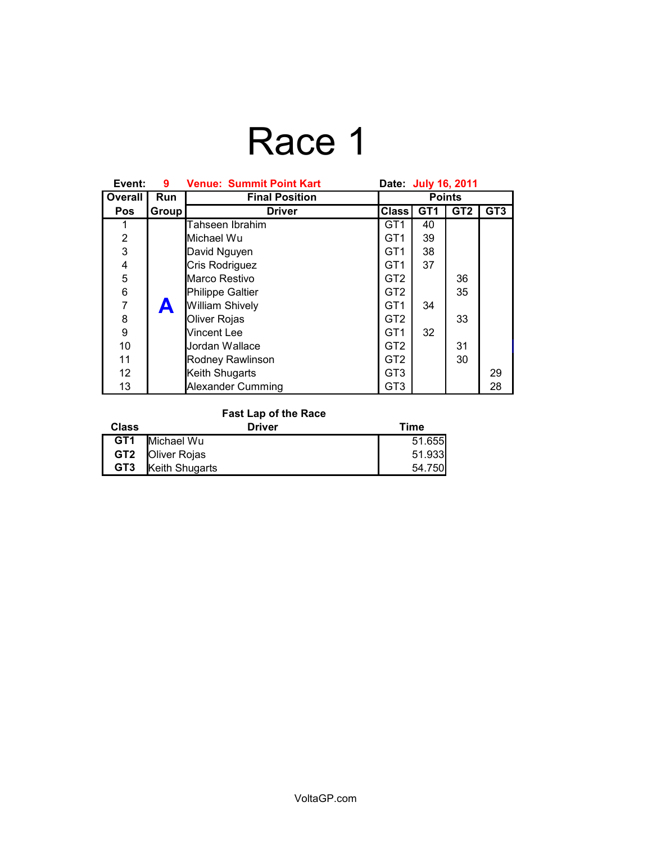### Race 1

| Event:          | 9.         | <b>Venue: Summit Point Kart</b> | Date: July 16, 2011 |                 |                 |                 |
|-----------------|------------|---------------------------------|---------------------|-----------------|-----------------|-----------------|
| <b>Overall</b>  | <b>Run</b> | <b>Final Position</b>           | <b>Points</b>       |                 |                 |                 |
| <b>Pos</b>      | Group      | <b>Driver</b>                   | <b>Class</b>        | GT <sub>1</sub> | GT <sub>2</sub> | GT <sub>3</sub> |
|                 |            | Tahseen Ibrahim                 | GT <sub>1</sub>     | 40              |                 |                 |
| $\overline{2}$  |            | Michael Wu                      | GT <sub>1</sub>     | 39              |                 |                 |
| $\overline{3}$  |            | David Nguyen                    | GT <sub>1</sub>     | 38              |                 |                 |
| 4               |            | Cris Rodriguez                  | GT <sub>1</sub>     | 37              |                 |                 |
| 5               |            | Marco Restivo                   | GT <sub>2</sub>     |                 | 36              |                 |
| 6               |            | <b>Philippe Galtier</b>         | GT <sub>2</sub>     |                 | 35              |                 |
| $\overline{7}$  | A          | <b>William Shively</b>          | GT <sub>1</sub>     | 34              |                 |                 |
| 8               |            | Oliver Rojas                    | GT <sub>2</sub>     |                 | 33              |                 |
| 9               |            | Vincent Lee                     | GT <sub>1</sub>     | 32              |                 |                 |
| 10              |            | Jordan Wallace                  | GT <sub>2</sub>     |                 | 31              |                 |
| 11              |            | Rodney Rawlinson                | GT <sub>2</sub>     |                 | 30              |                 |
| 12 <sup>2</sup> |            | Keith Shugarts                  | GT <sub>3</sub>     |                 |                 | 29              |
| 13              |            | Alexander Cumming               | GT <sub>3</sub>     |                 |                 | 28              |

#### **Fast Lap of the Race**

| <b>Class</b>    | <b>Driver</b>           | Time   |
|-----------------|-------------------------|--------|
| GT <sub>1</sub> | Michael Wu              | 51.655 |
|                 | <b>GT2 Oliver Rojas</b> | 51.933 |
| GT3             | <b>Keith Shugarts</b>   | 54.750 |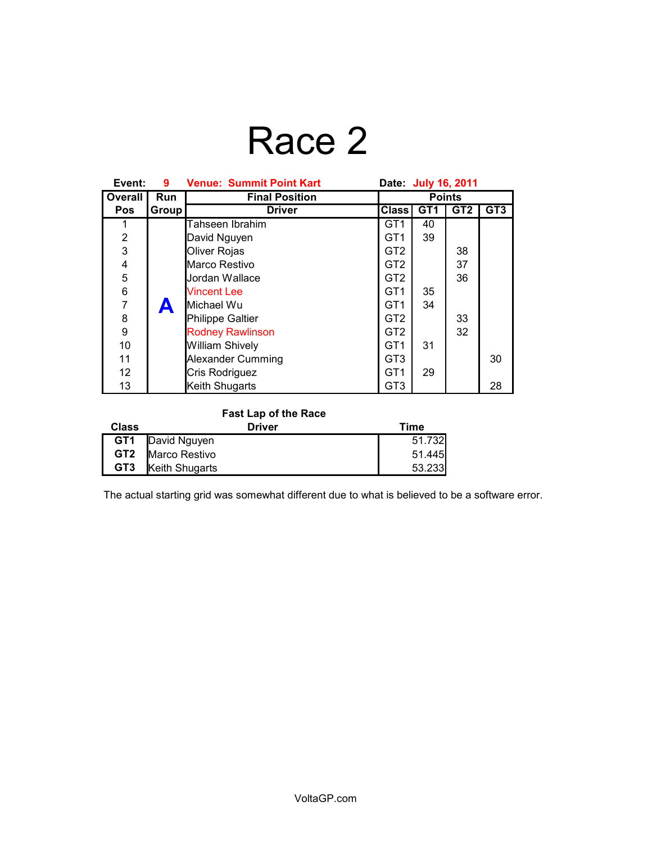# Race 2

| Event:         | 9     | <b>Venue: Summit Point Kart</b> | Date: July 16, 2011 |                 |                 |                 |
|----------------|-------|---------------------------------|---------------------|-----------------|-----------------|-----------------|
| <b>Overall</b> | Run   | <b>Final Position</b>           | <b>Points</b>       |                 |                 |                 |
| <b>Pos</b>     | Group | <b>Driver</b>                   | <b>Class</b>        | GT <sub>1</sub> | GT <sub>2</sub> | GT <sub>3</sub> |
|                |       | Tahseen Ibrahim                 | GT <sub>1</sub>     | 40              |                 |                 |
| $\overline{2}$ |       | David Nguyen                    | GT <sub>1</sub>     | 39              |                 |                 |
| 3              |       | Oliver Rojas                    | GT <sub>2</sub>     |                 | 38              |                 |
| 4              |       | Marco Restivo                   | GT <sub>2</sub>     |                 | 37              |                 |
| 5              |       | Jordan Wallace                  | GT <sub>2</sub>     |                 | 36              |                 |
| 6              |       | <b>Vincent Lee</b>              | GT <sub>1</sub>     | 35              |                 |                 |
| $\overline{7}$ | A     | Michael Wu                      | GT <sub>1</sub>     | 34              |                 |                 |
| 8              |       | Philippe Galtier                | GT <sub>2</sub>     |                 | 33              |                 |
| 9              |       | <b>Rodney Rawlinson</b>         | GT <sub>2</sub>     |                 | 32              |                 |
| 10             |       | <b>William Shively</b>          | GT <sub>1</sub>     | 31              |                 |                 |
| 11             |       | <b>Alexander Cumming</b>        | GT <sub>3</sub>     |                 |                 | 30              |
| 12             |       | Cris Rodriguez                  | GT <sub>1</sub>     | 29              |                 |                 |
| 13             |       | Keith Shugarts                  | GT <sub>3</sub>     |                 |                 | 28              |

#### **Fast Lap of the Race**

| <b>Class</b> | Driver                   | Time   |
|--------------|--------------------------|--------|
|              | <b>GT1</b> David Nguyen  | 51.732 |
|              | <b>GT2</b> Marco Restivo | 51.445 |
| GT3          | Keith Shugarts           | 53.233 |

The actual starting grid was somewhat different due to what is believed to be a software error.